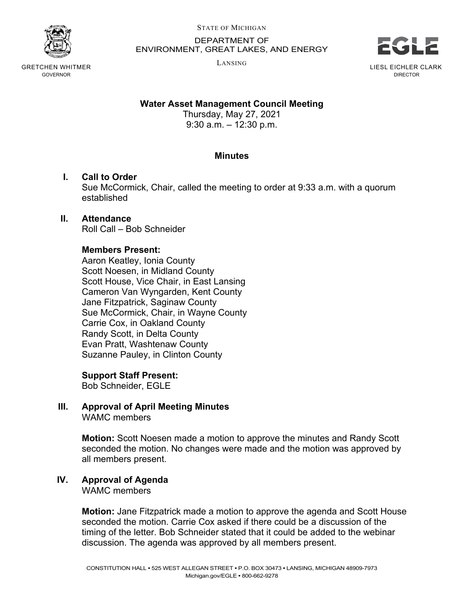

GRETCHEN WHITMER GOVERNOR

STATE OF MICHIGAN

DEPARTMENT OF ENVIRONMENT, GREAT LAKES, AND ENERGY

LANSING



DIRECTOR

## **Water Asset Management Council Meeting**

Thursday, May 27, 2021 9:30 a.m. – 12:30 p.m.

### **Minutes**

## **I. Call to Order**

Sue McCormick, Chair, called the meeting to order at 9:33 a.m. with a quorum established

# **II. Attendance**

Roll Call – Bob Schneider

### **Members Present:**

Aaron Keatley, Ionia County Scott Noesen, in Midland County Scott House, Vice Chair, in East Lansing Cameron Van Wyngarden, Kent County Jane Fitzpatrick, Saginaw County Sue McCormick, Chair, in Wayne County Carrie Cox, in Oakland County Randy Scott, in Delta County Evan Pratt, Washtenaw County Suzanne Pauley, in Clinton County

### **Support Staff Present:**

Bob Schneider, EGLE

#### **III. Approval of April Meeting Minutes** WAMC members

**Motion:** Scott Noesen made a motion to approve the minutes and Randy Scott seconded the motion. No changes were made and the motion was approved by all members present.

## **IV. Approval of Agenda**

WAMC members

**Motion:** Jane Fitzpatrick made a motion to approve the agenda and Scott House seconded the motion. Carrie Cox asked if there could be a discussion of the timing of the letter. Bob Schneider stated that it could be added to the webinar discussion. The agenda was approved by all members present.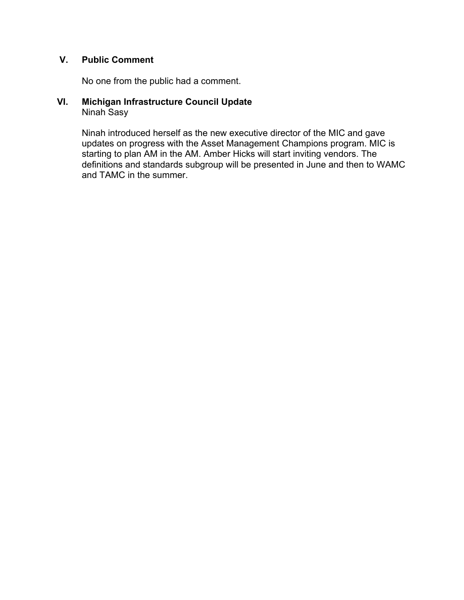## **V. Public Comment**

No one from the public had a comment.

#### **VI. Michigan Infrastructure Council Update** Ninah Sasy

Ninah introduced herself as the new executive director of the MIC and gave updates on progress with the Asset Management Champions program. MIC is starting to plan AM in the AM. Amber Hicks will start inviting vendors. The definitions and standards subgroup will be presented in June and then to WAMC and TAMC in the summer.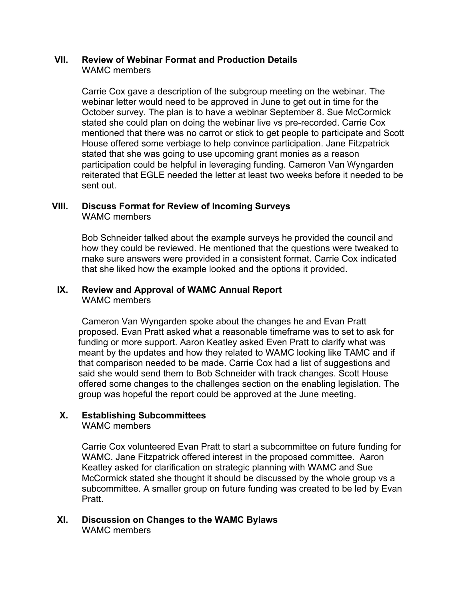#### **VII. Review of Webinar Format and Production Details** WAMC members

Carrie Cox gave a description of the subgroup meeting on the webinar. The webinar letter would need to be approved in June to get out in time for the October survey. The plan is to have a webinar September 8. Sue McCormick stated she could plan on doing the webinar live vs pre-recorded. Carrie Cox mentioned that there was no carrot or stick to get people to participate and Scott House offered some verbiage to help convince participation. Jane Fitzpatrick stated that she was going to use upcoming grant monies as a reason participation could be helpful in leveraging funding. Cameron Van Wyngarden reiterated that EGLE needed the letter at least two weeks before it needed to be sent out.

#### **VIII. Discuss Format for Review of Incoming Surveys** WAMC members

Bob Schneider talked about the example surveys he provided the council and how they could be reviewed. He mentioned that the questions were tweaked to make sure answers were provided in a consistent format. Carrie Cox indicated that she liked how the example looked and the options it provided.

# **IX. Review and Approval of WAMC Annual Report**

WAMC members

Cameron Van Wyngarden spoke about the changes he and Evan Pratt proposed. Evan Pratt asked what a reasonable timeframe was to set to ask for funding or more support. Aaron Keatley asked Even Pratt to clarify what was meant by the updates and how they related to WAMC looking like TAMC and if that comparison needed to be made. Carrie Cox had a list of suggestions and said she would send them to Bob Schneider with track changes. Scott House offered some changes to the challenges section on the enabling legislation. The group was hopeful the report could be approved at the June meeting.

## **X. Establishing Subcommittees**

WAMC members

Carrie Cox volunteered Evan Pratt to start a subcommittee on future funding for WAMC. Jane Fitzpatrick offered interest in the proposed committee. Aaron Keatley asked for clarification on strategic planning with WAMC and Sue McCormick stated she thought it should be discussed by the whole group vs a subcommittee. A smaller group on future funding was created to be led by Evan Pratt.

#### **XI. Discussion on Changes to the WAMC Bylaws** WAMC members